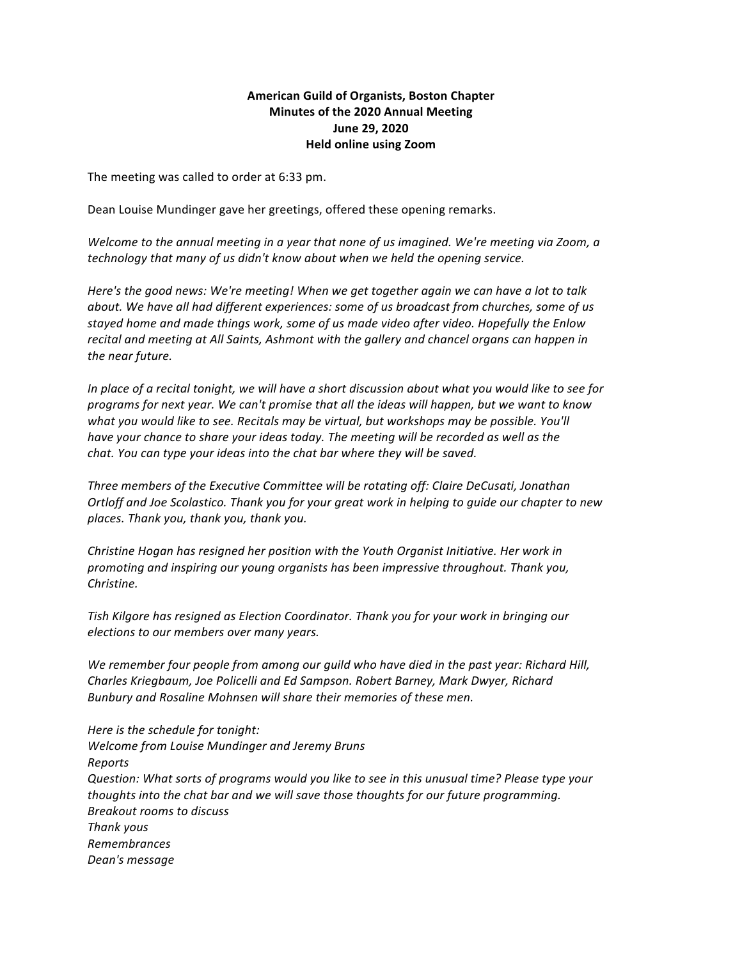# **American Guild of Organists, Boston Chapter Minutes of the 2020 Annual Meeting June 29, 2020 Held online using Zoom**

The meeting was called to order at 6:33 pm.

Dean Louise Mundinger gave her greetings, offered these opening remarks.

*Welcome to the annual meeting in a year that none of us imagined. We're meeting via Zoom, a technology* that many of us didn't know about when we held the opening service.

*Here's* the good news: We're meeting! When we get together again we can have a lot to talk *about.* We have all had different experiences: some of us broadcast from churches, some of us stayed home and made things work, some of us made video after video. Hopefully the Enlow recital and meeting at All Saints, Ashmont with the gallery and chancel organs can happen in *the near future.*

*In* place of a recital tonight, we will have a short discussion about what you would like to see for *programs for next year. We can't promise that all the ideas will happen, but we want to know what* you would like to see. Recitals may be virtual, but workshops may be possible. You'll *have* your chance to share your ideas today. The meeting will be recorded as well as the *chat. You can type your ideas into the chat bar where they will be saved.* 

Three members of the Executive Committee will be rotating off: Claire DeCusati, Jonathan *Ortloff and Joe Scolastico. Thank you for your great work in helping to guide our chapter to new places. Thank you, thank you, thank you.*

*Christine Hogan has resigned her position with the Youth Organist Initiative. Her work in promoting and inspiring our young organists has been impressive throughout. Thank you, Christine.*

*Tish Kilgore has resigned as Election Coordinator. Thank you for your work in bringing our elections to our members over many years.*

We remember four people from among our guild who have died in the past year: Richard Hill, *Charles Kriegbaum, Joe Policelli and Ed Sampson. Robert Barney, Mark Dwyer, Richard* Bunbury and Rosaline Mohnsen will share their memories of these men.

*Here is the schedule for tonight: Welcome from Louise Mundinger and Jeremy Bruns Reports Question:* What sorts of programs would you like to see in this unusual time? Please type your *thoughts* into the chat bar and we will save those thoughts for our future programming. *Breakout rooms to discuss Thank yous Remembrances Dean's message*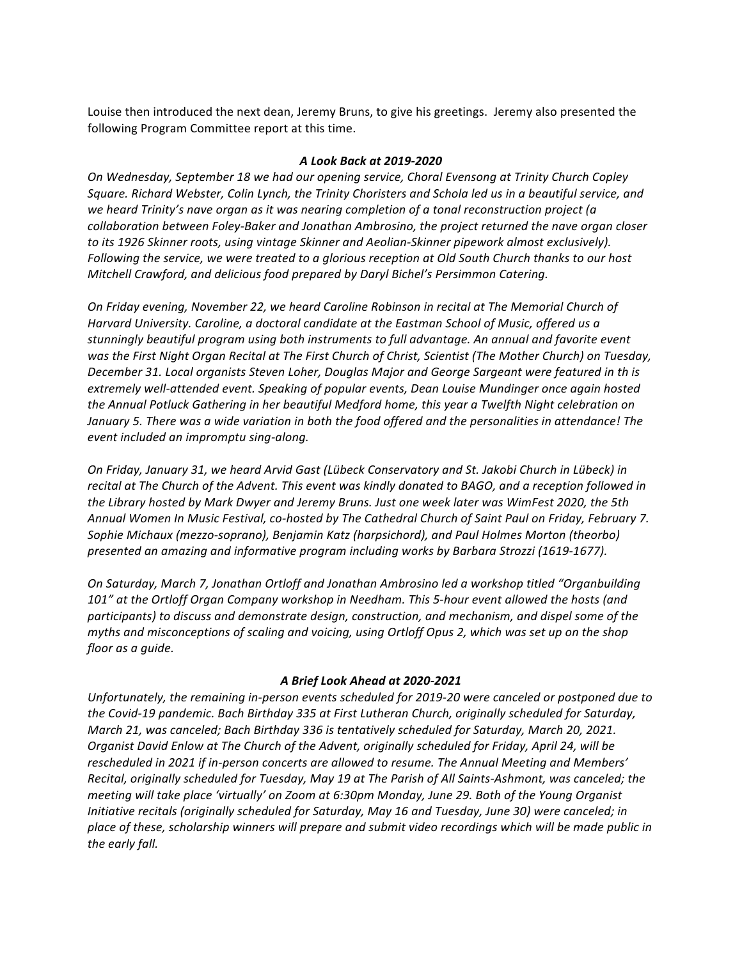Louise then introduced the next dean, Jeremy Bruns, to give his greetings. Jeremy also presented the following Program Committee report at this time.

#### *A Look Back at 2019-2020*

*On* Wednesday, September 18 we had our opening service, Choral Evensong at Trinity Church Copley Square. Richard Webster, Colin Lynch, the Trinity Choristers and Schola led us in a beautiful service, and we heard Trinity's nave organ as it was nearing completion of a tonal reconstruction project (a *collaboration between Foley-Baker and Jonathan Ambrosino, the project returned the nave organ closer to* its 1926 Skinner roots, using vintage Skinner and Aeolian-Skinner pipework almost exclusively). *Following the service, we were treated to a glorious reception at Old South Church thanks to our host Mitchell Crawford, and delicious food prepared by Daryl Bichel's Persimmon Catering.* 

*On Friday evening, November 22, we heard Caroline Robinson in recital at The Memorial Church of Harvard University.* Caroline, a doctoral candidate at the Eastman School of Music, offered us a stunningly beautiful program using both instruments to full advantage. An annual and favorite event was the First Night Organ Recital at The First Church of Christ, Scientist (The Mother Church) on Tuesday, December 31. Local organists Steven Loher, Douglas Major and George Sargeant were featured in th is extremely well-attended event. Speaking of popular events, Dean Louise Mundinger once again hosted the Annual Potluck Gathering in her beautiful Medford home, this year a Twelfth Night celebration on *January* 5. There was a wide variation in both the food offered and the personalities in attendance! The *event included an impromptu sing-along.* 

*On Friday, January 31, we heard Arvid Gast (Lübeck Conservatory and St. Jakobi Church in Lübeck) in recital* at The Church of the Advent. This event was kindly donated to BAGO, and a reception followed in the Library hosted by Mark Dwyer and Jeremy Bruns. Just one week later was WimFest 2020, the 5th Annual Women In Music Festival, co-hosted by The Cathedral Church of Saint Paul on Friday, February 7. Sophie Michaux (mezzo-soprano), Benjamin Katz (harpsichord), and Paul Holmes Morton (theorbo) *presented an amazing and informative program including works by Barbara Strozzi (1619-1677).*

*On Saturday, March 7, Jonathan Ortloff and Jonathan Ambrosino led a workshop titled "Organbuilding* 101" at the Ortloff Organ Company workshop in Needham. This 5-hour event allowed the hosts (and *participants) to discuss and demonstrate design, construction, and mechanism, and dispel some of the myths and misconceptions of scaling and voicing, using Ortloff Opus 2, which was set up on the shop floor as a guide.*

# *A Brief Look Ahead at 2020-2021*

Unfortunately, the remaining in-person events scheduled for 2019-20 were canceled or postponed due to the Covid-19 pandemic. Bach Birthday 335 at First Lutheran Church, originally scheduled for Saturday, *March 21, was canceled; Bach Birthday 336 is tentatively scheduled for Saturday, March 20, 2021. Organist David Enlow at The Church of the Advent, originally scheduled for Friday, April 24, will be* rescheduled in 2021 if in-person concerts are allowed to resume. The Annual Meeting and Members' *Recital, originally scheduled for Tuesday, May 19 at The Parish of All Saints-Ashmont, was canceled; the meeting will take place 'virtually' on Zoom at 6:30pm Monday, June 29. Both of the Young Organist Initiative recitals (originally scheduled for Saturday, May 16 and Tuesday, June 30) were canceled; in* place of these, scholarship winners will prepare and submit video recordings which will be made public in the early fall.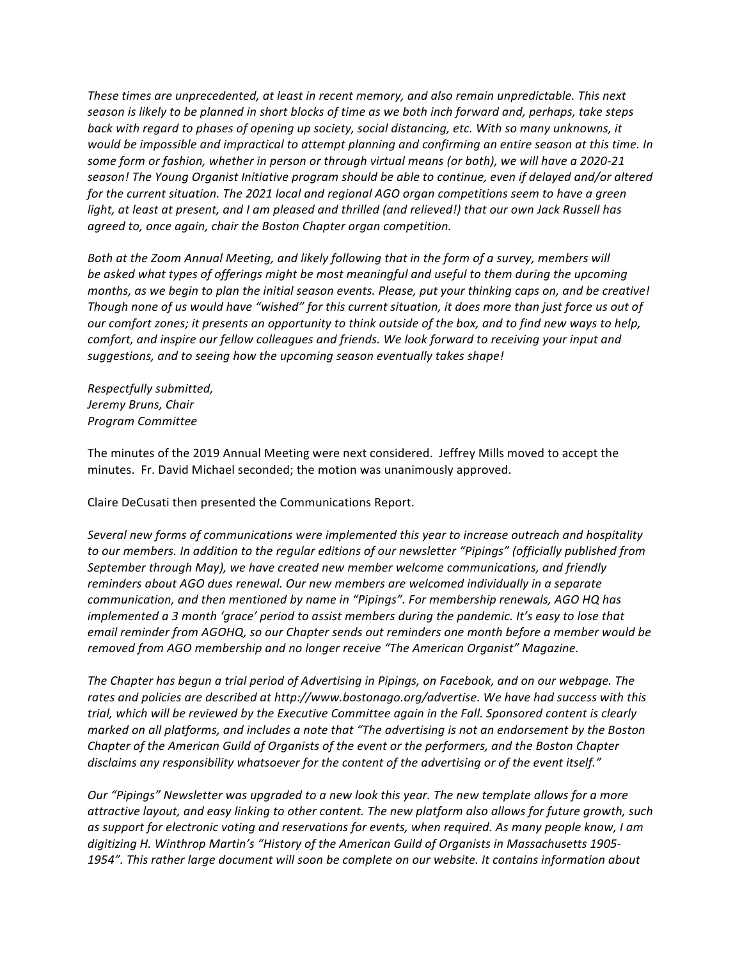These times are unprecedented, at least in recent memory, and also remain unpredictable. This next season is likely to be planned in short blocks of time as we both inch forward and, perhaps, take steps back with regard to phases of opening up society, social distancing, etc. With so many unknowns, it *would* be impossible and impractical to attempt planning and confirming an entire season at this time. In some form or fashion, whether in person or through virtual means (or both), we will have a 2020-21 season! The Young Organist Initiative program should be able to continue, even if delayed and/or altered for the current situation. The 2021 local and regional AGO organ competitions seem to have a green *light, at least at present, and I am pleased and thrilled (and relieved!)* that our own Jack Russell has agreed to, once again, chair the Boston Chapter organ competition.

Both at the Zoom Annual Meeting, and likely following that in the form of a survey, members will be asked what types of offerings might be most meaningful and useful to them during the upcoming months, as we begin to plan the initial season events. Please, put your thinking caps on, and be creative! *Though none of us would have "wished" for this current situation, it does more than just force us out of our* comfort zones; it presents an opportunity to think outside of the box, and to find new ways to help, *comfort, and inspire our fellow colleagues and friends. We look forward to receiving your input and* suggestions, and to seeing how the upcoming season eventually takes shape!

*Respectfully submitted, Jeremy Bruns, Chair Program Committee*

The minutes of the 2019 Annual Meeting were next considered. Jeffrey Mills moved to accept the minutes. Fr. David Michael seconded; the motion was unanimously approved.

Claire DeCusati then presented the Communications Report.

Several new forms of communications were implemented this year to increase outreach and hospitality to our members. In addition to the regular editions of our newsletter "Pipings" (officially published from September through May), we have created new member welcome communications, and friendly reminders about AGO dues renewal. Our new members are welcomed individually in a separate *communication, and then mentioned by name in "Pipings". For membership renewals, AGO HQ has implemented a* 3 month 'grace' period to assist members during the pandemic. It's easy to lose that email reminder from AGOHQ, so our Chapter sends out reminders one month before a member would be *removed from AGO membership and no longer receive "The American Organist" Magazine.* 

The Chapter has begun a trial period of Advertising in Pipings, on Facebook, and on our webpage. The rates and policies are described at http://www.bostonago.org/advertise. We have had success with this *trial, which will be reviewed by the Executive Committee again in the Fall. Sponsored content is clearly marked* on all platforms, and includes a note that "The advertising is not an endorsement by the Boston *Chapter of the American Guild of Organists of the event or the performers, and the Boston Chapter* disclaims any responsibility whatsoever for the content of the advertising or of the event itself."

*Our* "Pipings" Newsletter was upgraded to a new look this year. The new template allows for a more attractive layout, and easy linking to other content. The new platform also allows for future growth, such as support for electronic voting and reservations for events, when required. As many people know, I am digitizing H. Winthrop Martin's "History of the American Guild of Organists in Massachusetts 1905-1954". This rather large document will soon be complete on our website. It contains information about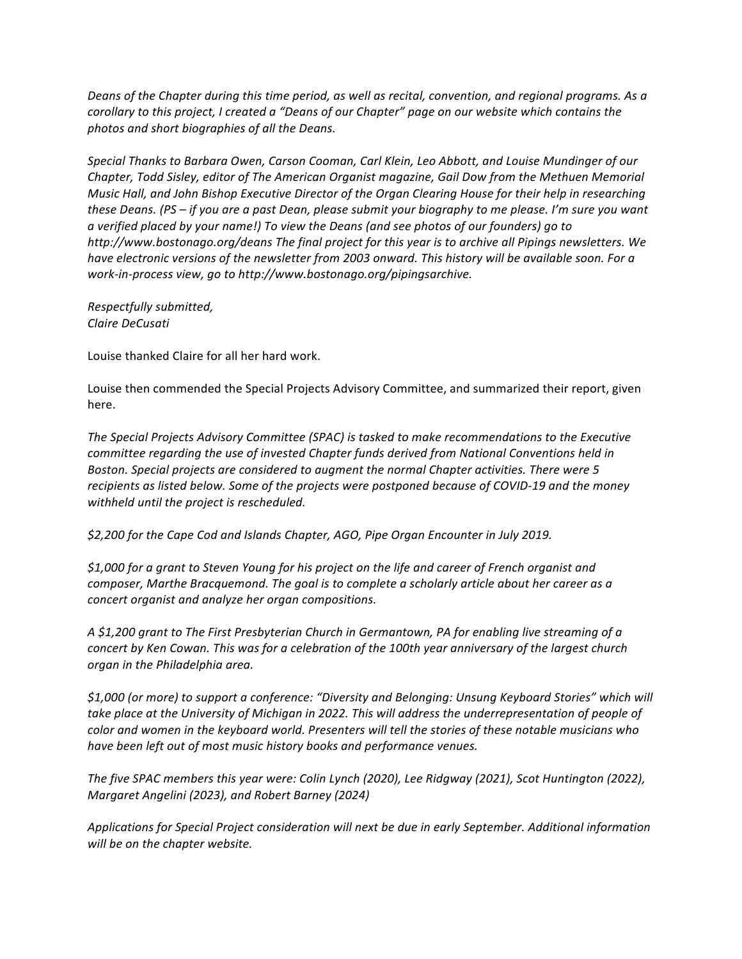*Deans* of the Chapter during this time period, as well as recital, convention, and regional programs. As a *corollary to this project, I created a "Deans of our Chapter" page on our website which contains the photos and short biographies of all the Deans.*

Special Thanks to Barbara Owen, Carson Cooman, Carl Klein, Leo Abbott, and Louise Mundinger of our *Chapter, Todd Sisley, editor of The American Organist magazine, Gail Dow from the Methuen Memorial Music Hall, and John Bishop Executive Director of the Organ Clearing House for their help in researching these Deans.* (PS – *if you are a past Dean, please submit your biography to me please. I'm sure you want a verified placed by your name!) To view the Deans (and see photos of our founders) go to*  http://www.bostonago.org/deans The final project for this year is to archive all Pipings newsletters. We *have electronic versions of the newsletter from 2003 onward. This history will be available soon. For a work-in-process view, go to http://www.bostonago.org/pipingsarchive.*

*Respectfully submitted, Claire DeCusati*

Louise thanked Claire for all her hard work.

Louise then commended the Special Projects Advisory Committee, and summarized their report, given here.

The Special Projects Advisory Committee (SPAC) is tasked to make recommendations to the Executive *committee regarding the use of invested Chapter funds derived from National Conventions held in Boston.* Special projects are considered to augment the normal Chapter activities. There were 5 recipients as listed below. Some of the projects were postponed because of COVID-19 and the money *withheld until the project is rescheduled.* 

\$2,200 for the Cape Cod and Islands Chapter, AGO, Pipe Organ Encounter in July 2019.

\$1,000 for a grant to Steven Young for his project on the life and career of French organist and *composer, Marthe Bracquemond. The goal is to complete a scholarly article about her career as a concert organist and analyze her organ compositions.*

A \$1,200 grant to The First Presbyterian Church in Germantown, PA for enabling live streaming of a *concert by Ken Cowan. This was for a celebration of the 100th year anniversary of the largest church organ in the Philadelphia area.*

*\$1,000 (or more) to support a conference: "Diversity and Belonging: Unsung Keyboard Stories" which will*  take place at the University of Michigan in 2022. This will address the underrepresentation of people of *color* and women in the keyboard world. Presenters will tell the stories of these notable musicians who have been left out of most music history books and performance venues.

The five SPAC members this year were: Colin Lynch (2020), Lee Ridgway (2021), Scot Huntington (2022), *Margaret Angelini (2023), and Robert Barney (2024)* 

Applications for Special Project consideration will next be due in early September. Additional information *will be on the chapter website.*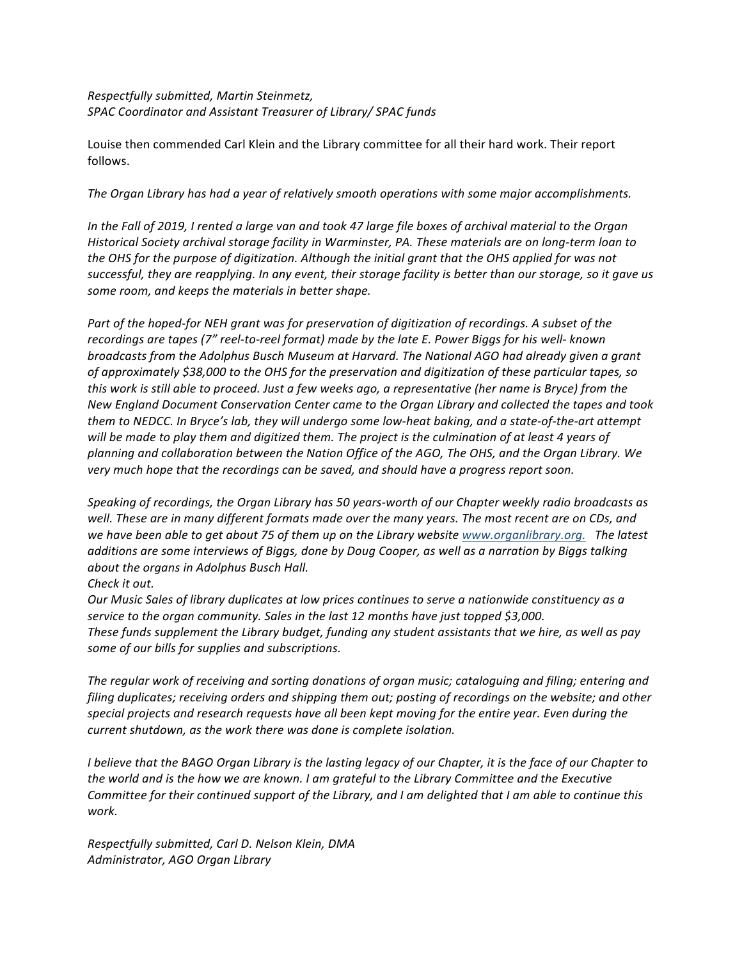# *Respectfully submitted, Martin Steinmetz,* SPAC Coordinator and Assistant Treasurer of Library/ SPAC funds

Louise then commended Carl Klein and the Library committee for all their hard work. Their report follows.

#### The Organ Library has had a year of relatively smooth operations with some major accomplishments.

*In* the Fall of 2019, I rented a large van and took 47 large file boxes of archival material to the Organ *Historical Society archival storage facility in Warminster, PA. These materials are on long-term loan to the* OHS for the purpose of digitization. Although the initial grant that the OHS applied for was not successful, they are reapplying. In any event, their storage facility is better than our storage, so it gave us some room, and keeps the materials in better shape.

*Part of the hoped-for NEH grant was for preservation of digitization of recordings. A subset of the recordings are tapes (7" reel-to-reel format) made by the late E. Power Biggs for his well- known broadcasts from the Adolphus Busch Museum at Harvard. The National AGO had already given a grant* of approximately \$38,000 to the OHS for the preservation and digitization of these particular tapes, so *this* work is still able to proceed. Just a few weeks ago, a representative (her name is Bryce) from the New England Document Conservation Center came to the Organ Library and collected the tapes and took *them* to NEDCC. In Bryce's lab, they will undergo some low-heat baking, and a state-of-the-art attempt will be made to play them and digitized them. The project is the culmination of at least 4 years of *planning and collaboration between the Nation Office of the AGO, The OHS, and the Organ Library. We*  very much hope that the recordings can be saved, and should have a progress report soon.

Speaking of recordings, the Organ Library has 50 years-worth of our Chapter weekly radio broadcasts as well. These are in many different formats made over the many years. The most recent are on CDs, and we have been able to get about 75 of them up on the Library website *www.organlibrary.org.* The latest additions are some interviews of Biggs, done by Doug Cooper, as well as a narration by Biggs talking *about the organs in Adolphus Busch Hall.* 

# *Check it out.*

*Our* Music Sales of library duplicates at low prices continues to serve a nationwide constituency as a *service to the organ community. Sales in the last 12 months have just topped \$3,000.* These funds supplement the Library budget, funding any student assistants that we hire, as well as pay *some of our bills for supplies and subscriptions.* 

The regular work of receiving and sorting donations of organ music; cataloguing and filing; entering and *filing* duplicates; receiving orders and shipping them out; posting of recordings on the website; and other special projects and research requests have all been kept moving for the entire year. Even during the *current shutdown, as the work there was done is complete isolation.* 

*I* believe that the BAGO Organ Library is the lasting legacy of our Chapter, it is the face of our Chapter to the world and is the how we are known. *I* am grateful to the Library Committee and the Executive *Committee for their continued support of the Library, and I am delighted that I am able to continue this work.*

*Respectfully submitted, Carl D. Nelson Klein, DMA Administrator, AGO Organ Library*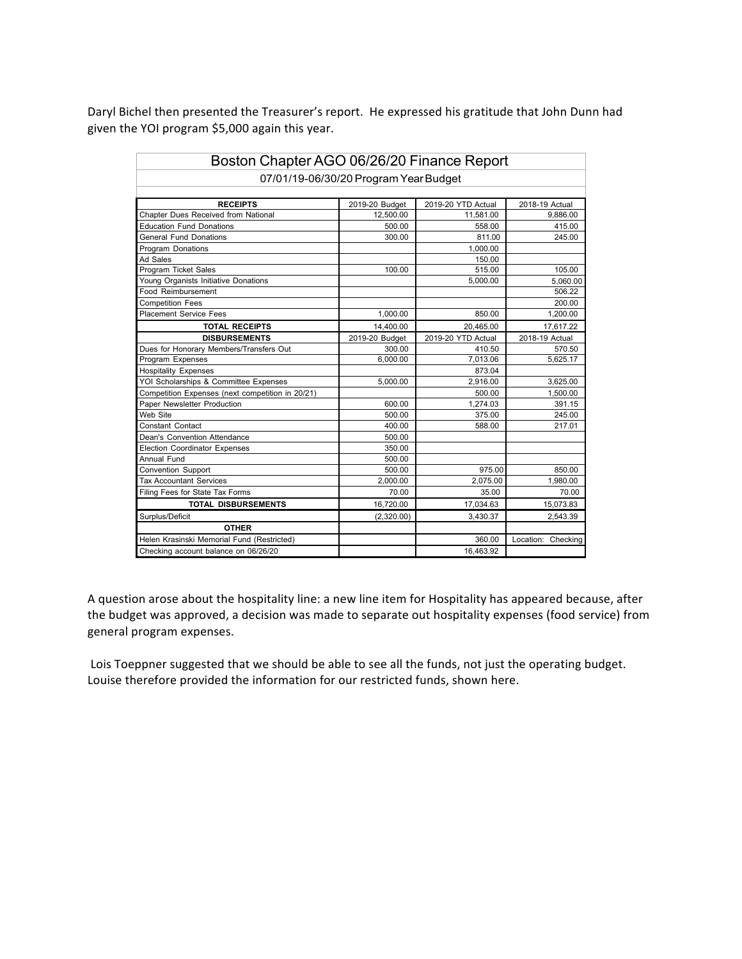Daryl Bichel then presented the Treasurer's report. He expressed his gratitude that John Dunn had given the YOI program \$5,000 again this year.

| Boston Chapter AGO 06/26/20 Finance Report       |                |                    |                    |  |  |  |
|--------------------------------------------------|----------------|--------------------|--------------------|--|--|--|
| 07/01/19-06/30/20 Program Year Budget            |                |                    |                    |  |  |  |
|                                                  |                |                    |                    |  |  |  |
| <b>RECEIPTS</b>                                  | 2019-20 Budget | 2019-20 YTD Actual | 2018-19 Actual     |  |  |  |
| Chapter Dues Received from National              | 12,500.00      | 11.581.00          | 9.886.00           |  |  |  |
| <b>Education Fund Donations</b>                  | 500.00         | 558.00             | 415.00             |  |  |  |
| <b>General Fund Donations</b>                    | 300.00         | 811.00             | 245.00             |  |  |  |
| Program Donations                                |                | 1,000.00           |                    |  |  |  |
| Ad Sales                                         |                | 150.00             |                    |  |  |  |
| Program Ticket Sales                             | 100.00         | 515.00             | 105.00             |  |  |  |
| Young Organists Initiative Donations             |                | 5,000.00           | 5,060.00           |  |  |  |
| Food Reimbursement                               |                |                    | 506.22             |  |  |  |
| <b>Competition Fees</b>                          |                |                    | 200.00             |  |  |  |
| <b>Placement Service Fees</b>                    | 1,000.00       | 850.00             | 1,200.00           |  |  |  |
| <b>TOTAL RECEIPTS</b>                            | 14,400.00      | 20,465.00          | 17,617.22          |  |  |  |
| <b>DISBURSEMENTS</b>                             | 2019-20 Budget | 2019-20 YTD Actual | 2018-19 Actual     |  |  |  |
| Dues for Honorary Members/Transfers Out          | 300.00         | 410.50             | 570.50             |  |  |  |
| Program Expenses                                 | 6,000.00       | 7,013.06           | 5,625.17           |  |  |  |
| <b>Hospitality Expenses</b>                      |                | 873.04             |                    |  |  |  |
| YOI Scholarships & Committee Expenses            | 5,000.00       | 2,916.00           | 3,625.00           |  |  |  |
| Competition Expenses (next competition in 20/21) |                | 500.00             | 1,500.00           |  |  |  |
| Paper Newsletter Production                      | 600.00         | 1.274.03           | 391.15             |  |  |  |
| Web Site                                         | 500.00         | 375.00             | 245.00             |  |  |  |
| <b>Constant Contact</b>                          | 400.00         | 588.00             | 217.01             |  |  |  |
| Dean's Convention Attendance                     | 500.00         |                    |                    |  |  |  |
| Election Coordinator Expenses                    | 350.00         |                    |                    |  |  |  |
| Annual Fund                                      | 500.00         |                    |                    |  |  |  |
| <b>Convention Support</b>                        | 500.00         | 975.00             | 850.00             |  |  |  |
| <b>Tax Accountant Services</b>                   | 2,000.00       | 2,075.00           | 1,980.00           |  |  |  |
| Filing Fees for State Tax Forms                  | 70.00          | 35.00              | 70.00              |  |  |  |
| <b>TOTAL DISBURSEMENTS</b>                       | 16,720.00      | 17,034.63          | 15,073.83          |  |  |  |
| Surplus/Deficit                                  | (2,320.00)     | 3,430.37           | 2,543.39           |  |  |  |
| <b>OTHER</b>                                     |                |                    |                    |  |  |  |
| Helen Krasinski Memorial Fund (Restricted)       |                | 360.00             | Location: Checking |  |  |  |
| Checking account balance on 06/26/20             |                | 16,463.92          |                    |  |  |  |

A question arose about the hospitality line: a new line item for Hospitality has appeared because, after the budget was approved, a decision was made to separate out hospitality expenses (food service) from general program expenses.

Lois Toeppner suggested that we should be able to see all the funds, not just the operating budget. Louise therefore provided the information for our restricted funds, shown here.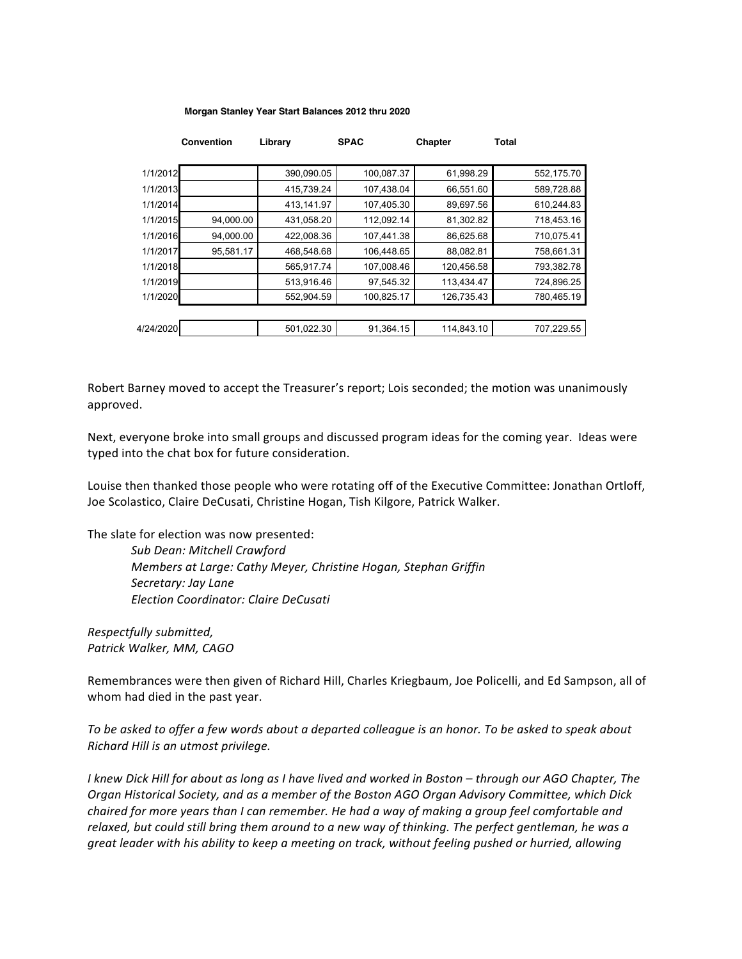#### **Morgan Stanley Year Start Balances 2012 thru 2020**

|           | <b>Convention</b> | Library    | <b>SPAC</b> | Chapter    | <b>Total</b> |
|-----------|-------------------|------------|-------------|------------|--------------|
|           |                   |            |             |            |              |
| 1/1/2012  |                   | 390,090.05 | 100,087.37  | 61,998.29  | 552,175.70   |
| 1/1/2013  |                   | 415,739.24 | 107,438.04  | 66,551.60  | 589,728.88   |
| 1/1/2014  |                   | 413,141.97 | 107,405.30  | 89,697.56  | 610,244.83   |
| 1/1/2015  | 94,000.00         | 431,058.20 | 112,092.14  | 81,302.82  | 718,453.16   |
| 1/1/2016  | 94,000.00         | 422.008.36 | 107.441.38  | 86,625.68  | 710,075.41   |
| 1/1/2017  | 95,581.17         | 468,548.68 | 106,448.65  | 88,082.81  | 758,661.31   |
| 1/1/2018  |                   | 565,917.74 | 107,008.46  | 120,456.58 | 793,382.78   |
| 1/1/2019  |                   | 513,916.46 | 97,545.32   | 113,434.47 | 724,896.25   |
| 1/1/2020  |                   | 552,904.59 | 100,825.17  | 126,735.43 | 780,465.19   |
|           |                   |            |             |            |              |
| 4/24/2020 |                   | 501.022.30 | 91,364.15   | 114,843.10 | 707.229.55   |

Robert Barney moved to accept the Treasurer's report; Lois seconded; the motion was unanimously approved.

Next, everyone broke into small groups and discussed program ideas for the coming year. Ideas were typed into the chat box for future consideration.

Louise then thanked those people who were rotating off of the Executive Committee: Jonathan Ortloff, Joe Scolastico, Claire DeCusati, Christine Hogan, Tish Kilgore, Patrick Walker.

The slate for election was now presented:

*Sub Dean: Mitchell Crawford Members at Large: Cathy Meyer, Christine Hogan, Stephan Griffin Secretary: Jay Lane Election Coordinator: Claire DeCusati*

*Respectfully submitted, Patrick Walker, MM, CAGO*

Remembrances were then given of Richard Hill, Charles Kriegbaum, Joe Policelli, and Ed Sampson, all of whom had died in the past year.

To be asked to offer a few words about a departed colleague is an honor. To be asked to speak about *Richard Hill is an utmost privilege.*

*I* knew Dick Hill for about as long as I have lived and worked in Boston – through our AGO Chapter, The *Organ Historical Society, and as a member of the Boston AGO Organ Advisory Committee, which Dick chaired for more years than I can remember. He had a way of making a group feel comfortable and* relaxed, but could still bring them around to a new way of thinking. The perfect gentleman, he was a *great leader with his ability to keep a meeting on track, without feeling pushed or hurried, allowing*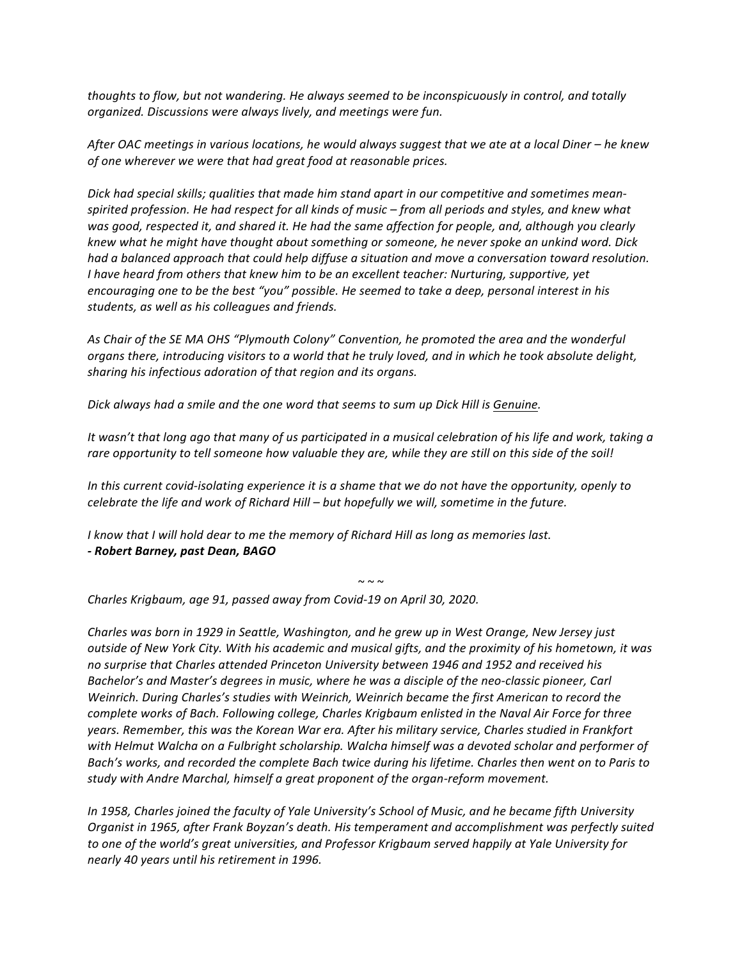*thoughts* to flow, but not wandering. He always seemed to be inconspicuously in control, and totally *organized. Discussions were always lively, and meetings were fun.*

After OAC meetings in various locations, he would always suggest that we ate at a local Diner – he knew *of one wherever we were that had great food at reasonable prices.* 

Dick had special skills; qualities that made him stand apart in our competitive and sometimes mean*spirited profession. He had respect for all kinds of music* – *from all periods and styles, and knew what* was good, respected it, and shared it. He had the same affection for people, and, although you clearly *knew* what he might have thought about something or someone, he never spoke an unkind word. Dick had a balanced approach that could help diffuse a situation and move a conversation toward resolution. *I* have heard from others that knew him to be an excellent teacher: Nurturing, supportive, yet *encouraging* one to be the best "you" possible. He seemed to take a deep, personal interest in his *students, as well as his colleagues and friends.*

As Chair of the SE MA OHS "Plymouth Colony" Convention, he promoted the area and the wonderful organs there, introducing visitors to a world that he truly loved, and in which he took absolute delight, sharing his infectious adoration of that region and its organs.

Dick always had a smile and the one word that seems to sum up Dick Hill is Genuine.

*It* wasn't that long ago that many of us participated in a musical celebration of his life and work, taking a rare opportunity to tell someone how valuable they are, while they are still on this side of the soil!

*In this current covid-isolating experience it is a shame that we do not have the opportunity, openly to celebrate the life and work of Richard Hill – but hopefully we will, sometime in the future.* 

*I* know that *I* will hold dear to me the memory of Richard Hill as long as memories last. *- Robert Barney, past Dean, BAGO*

 $\sim$   $\sim$   $\sim$ 

*Charles Krigbaum, age 91, passed away from Covid-19 on April 30, 2020.*

*Charles* was born in 1929 in Seattle, Washington, and he grew up in West Orange, New Jersey just *outside of New York City. With his academic and musical gifts, and the proximity of his hometown, it was* no surprise that Charles attended Princeton University between 1946 and 1952 and received his *Bachelor's* and Master's degrees in music, where he was a disciple of the neo-classic pioneer, Carl Weinrich. During Charles's studies with Weinrich, Weinrich became the first American to record the *complete works of Bach. Following college, Charles Krigbaum enlisted in the Naval Air Force for three* years. Remember, this was the Korean War era. After his military service, Charles studied in Frankfort with Helmut Walcha on a Fulbright scholarship. Walcha himself was a devoted scholar and performer of Bach's works, and recorded the complete Bach twice during his lifetime. Charles then went on to Paris to study with Andre Marchal, himself a great proponent of the organ-reform movement.

*In* 1958, Charles joined the faculty of Yale University's School of Music, and he became fifth University *Organist in 1965, after Frank Boyzan's death. His temperament and accomplishment was perfectly suited* to one of the world's great universities, and Professor Krigbaum served happily at Yale University for *nearly 40 years until his retirement in 1996.*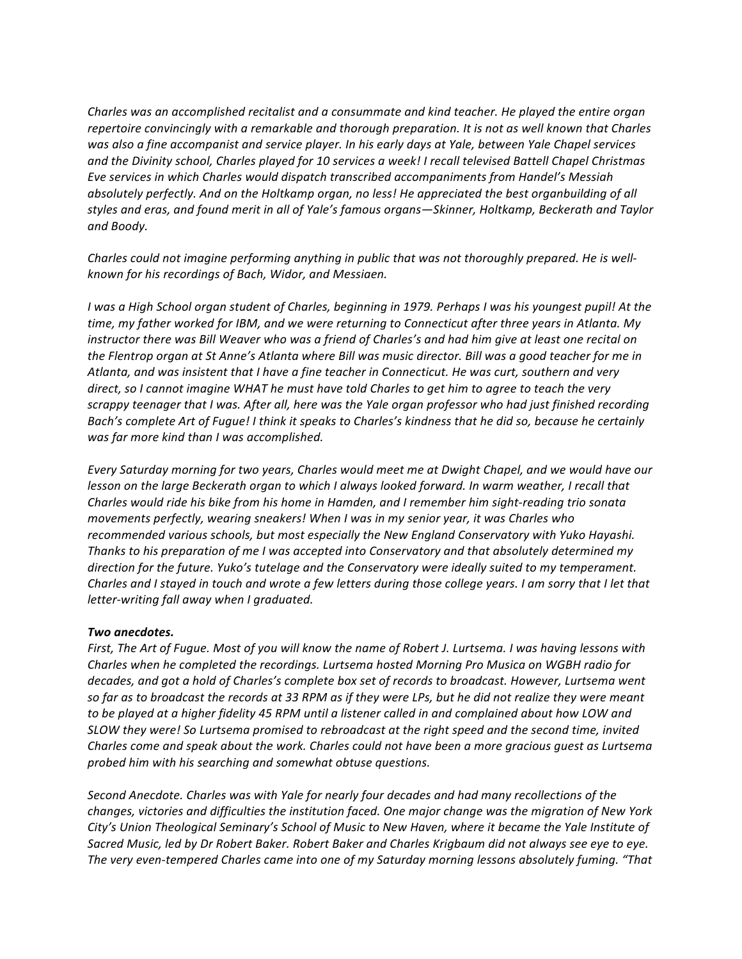*Charles* was an accomplished recitalist and a consummate and kind teacher. He played the entire organ *repertoire convincingly with a remarkable and thorough preparation. It is not as well known that Charles* was also a fine accompanist and service player. In his early days at Yale, between Yale Chapel services and the Divinity school, Charles played for 10 services a week! I recall televised Battell Chapel Christmas Eve services in which Charles would dispatch transcribed accompaniments from Handel's Messiah absolutely perfectly. And on the Holtkamp organ, no less! He appreciated the best organbuilding of all styles and eras, and found merit in all of Yale's famous organs—Skinner, Holtkamp, Beckerath and Taylor *and Boody.*

*Charles could not imagine performing anything in public that was not thoroughly prepared. He is wellknown for his recordings of Bach, Widor, and Messiaen.*

*I* was a High School organ student of Charles, beginning in 1979. Perhaps I was his youngest pupil! At the time, my father worked for IBM, and we were returning to Connecticut after three years in Atlanta. My *instructor there was Bill Weaver who was a friend of Charles's and had him give at least one recital on* the Flentrop organ at St Anne's Atlanta where Bill was music director. Bill was a good teacher for me in Atlanta, and was insistent that I have a fine teacher in Connecticut. He was curt, southern and very *direct, so I cannot imagine WHAT he must have told Charles to get him to garee to teach the very* scrappy teenager that I was. After all, here was the Yale organ professor who had just finished recording *Bach's* complete Art of Fugue! I think it speaks to Charles's kindness that he did so, because he certainly was far more kind than I was accomplished.

*Every* Saturday morning for two years, Charles would meet me at Dwight Chapel, and we would have our *lesson* on the large Beckerath organ to which I always looked forward. In warm weather, I recall that *Charles* would ride his bike from his home in Hamden, and I remember him sight-reading trio sonata movements perfectly, wearing sneakers! When I was in my senior year, it was Charles who recommended various schools, but most especially the New England Conservatory with Yuko Hayashi. *Thanks to his preparation of me I was accepted into Conservatory and that absolutely determined my direction for the future. Yuko's tutelage and the Conservatory were ideally suited to my temperament. Charles and I stayed in touch and wrote a few letters during those college years. I am sorry that I let that letter-writing fall away when I graduated.* 

# *Two anecdotes.*

*First,* The Art of Fugue. Most of you will know the name of Robert J. Lurtsema. I was having lessons with Charles when he completed the recordings. Lurtsema hosted Morning Pro Musica on WGBH radio for decades, and got a hold of Charles's complete box set of records to broadcast. However, Lurtsema went so far as to broadcast the records at 33 RPM as if they were LPs, but he did not realize they were meant to be played at a higher fidelity 45 RPM until a listener called in and complained about how LOW and *SLOW they were! So Lurtsema promised to rebroadcast at the right speed and the second time, invited Charles come and speak about the work. Charles could not have been a more gracious quest as Lurtsema probed him with his searching and somewhat obtuse questions.*

Second Anecdote. Charles was with Yale for nearly four decades and had many recollections of the changes, victories and difficulties the institution faced. One major change was the migration of New York City's Union Theological Seminary's School of Music to New Haven, where it became the Yale Institute of Sacred Music, led by Dr Robert Baker. Robert Baker and Charles Krigbaum did not always see eye to eye. The very even-tempered Charles came into one of my Saturday morning lessons absolutely fuming. "That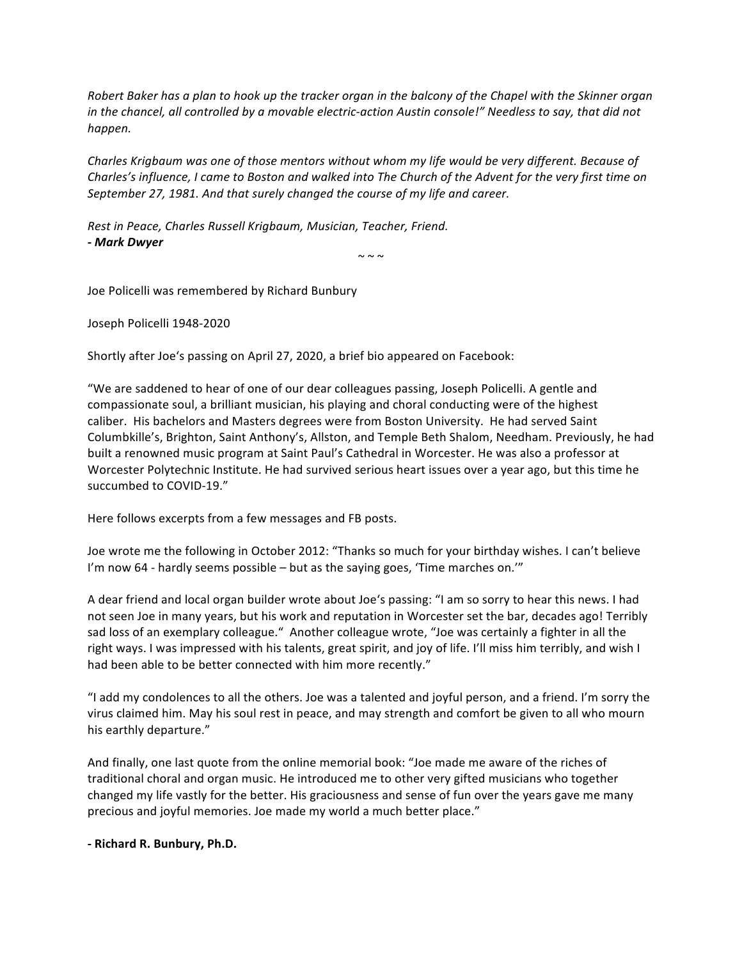*Robert Baker has a plan to hook up the tracker organ in the balcony of the Chapel with the Skinner organ in* the chancel, all controlled by a movable electric-action Austin console!" Needless to say, that did not *happen.*

Charles Krigbaum was one of those mentors without whom my life would be very different. Because of *Charles's* influence, I came to Boston and walked into The Church of the Advent for the very first time on September 27, 1981. And that surely changed the course of my life and career.

**Rest in Peace, Charles Russell Krigbaum, Musician, Teacher, Friend.** *- Mark Dwyer*

 $\sim \sim \sim$ 

Joe Policelli was remembered by Richard Bunbury

Joseph Policelli 1948-2020

Shortly after Joe's passing on April 27, 2020, a brief bio appeared on Facebook:

"We are saddened to hear of one of our dear colleagues passing, Joseph Policelli. A gentle and compassionate soul, a brilliant musician, his playing and choral conducting were of the highest caliber. His bachelors and Masters degrees were from Boston University. He had served Saint Columbkille's, Brighton, Saint Anthony's, Allston, and Temple Beth Shalom, Needham. Previously, he had built a renowned music program at Saint Paul's Cathedral in Worcester. He was also a professor at Worcester Polytechnic Institute. He had survived serious heart issues over a year ago, but this time he succumbed to COVID-19."

Here follows excerpts from a few messages and FB posts.

Joe wrote me the following in October 2012: "Thanks so much for your birthday wishes. I can't believe I'm now  $64$  - hardly seems possible  $-$  but as the saying goes, 'Time marches on.'"

A dear friend and local organ builder wrote about Joe's passing: "I am so sorry to hear this news. I had not seen Joe in many years, but his work and reputation in Worcester set the bar, decades ago! Terribly sad loss of an exemplary colleague." Another colleague wrote, "Joe was certainly a fighter in all the right ways. I was impressed with his talents, great spirit, and joy of life. I'll miss him terribly, and wish I had been able to be better connected with him more recently."

"I add my condolences to all the others. Joe was a talented and joyful person, and a friend. I'm sorry the virus claimed him. May his soul rest in peace, and may strength and comfort be given to all who mourn his earthly departure."

And finally, one last quote from the online memorial book: "Joe made me aware of the riches of traditional choral and organ music. He introduced me to other very gifted musicians who together changed my life vastly for the better. His graciousness and sense of fun over the years gave me many precious and joyful memories. Joe made my world a much better place."

**- Richard R. Bunbury, Ph.D.**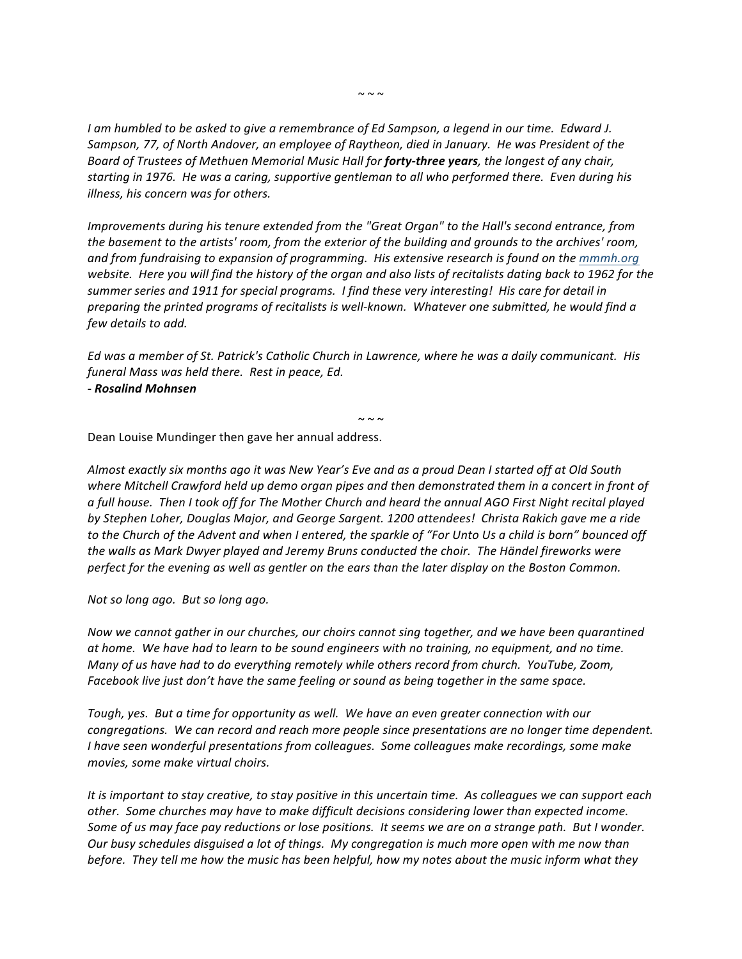*I* am humbled to be asked to give a remembrance of Ed Sampson, a legend in our time. Edward J. Sampson, 77, of North Andover, an employee of Raytheon, died in January. He was President of the *Board of Trustees of Methuen Memorial Music Hall for forty-three years, the longest of any chair,* starting in 1976. He was a caring, supportive gentleman to all who performed there. Even during his *illness, his concern was for others.* 

*Improvements during his tenure extended from the "Great Organ" to the Hall's second entrance, from the basement to the artists' room, from the exterior of the building and grounds to the archives' room,* and from fundraising to expansion of programming. His extensive research is found on the mmmh.org *website.* Here you will find the history of the organ and also lists of recitalists dating back to 1962 for the summer series and 1911 for special programs. I find these very interesting! His care for detail in *preparing the printed programs of recitalists is well-known. Whatever one submitted, he would find a few details to add.*

*Ed was a member of St. Patrick's Catholic Church in Lawrence, where he was a daily communicant. His*  funeral Mass was held there. Rest in peace, Ed.

*- Rosalind Mohnsen*

 $\sim$   $\sim$   $\sim$ 

Dean Louise Mundinger then gave her annual address.

Almost exactly six months ago it was New Year's Eve and as a proud Dean I started off at Old South where Mitchell Crawford held up demo organ pipes and then demonstrated them in a concert in front of *a* full house. Then I took off for The Mother Church and heard the annual AGO First Night recital played by Stephen Loher, Douglas Major, and George Sargent. 1200 attendees! Christa Rakich gave me a ride *to* the Church of the Advent and when I entered, the sparkle of "For Unto Us a child is born" bounced off the walls as Mark Dwyer played and Jeremy Bruns conducted the choir. The Händel fireworks were *perfect for the evening as well as gentler on the ears than the later display on the Boston Common.* 

*Not so long ago.* But so long ago.

*Now we cannot gather in our churches, our choirs cannot sing together, and we have been quarantined* at home. We have had to learn to be sound engineers with no training, no equipment, and no time. *Many* of us have had to do everything remotely while others record from church. YouTube, Zoom, *Facebook live just don't have the same feeling or sound as being together in the same space.* 

Tough, yes. But a time for opportunity as well. We have an even greater connection with our *congregations.* We can record and reach more people since presentations are no longer time dependent. *I* have seen wonderful presentations from colleagues. Some colleagues make recordings, some make movies, some make virtual choirs.

*It* is important to stay creative, to stay positive in this uncertain time. As colleagues we can support each other. Some churches may have to make difficult decisions considering lower than expected income. Some of us may face pay reductions or lose positions. It seems we are on a strange path. But I wonder. *Our* busy schedules disguised a lot of things. My congregation is much more open with me now than *before.* They tell me how the music has been helpful, how my notes about the music inform what they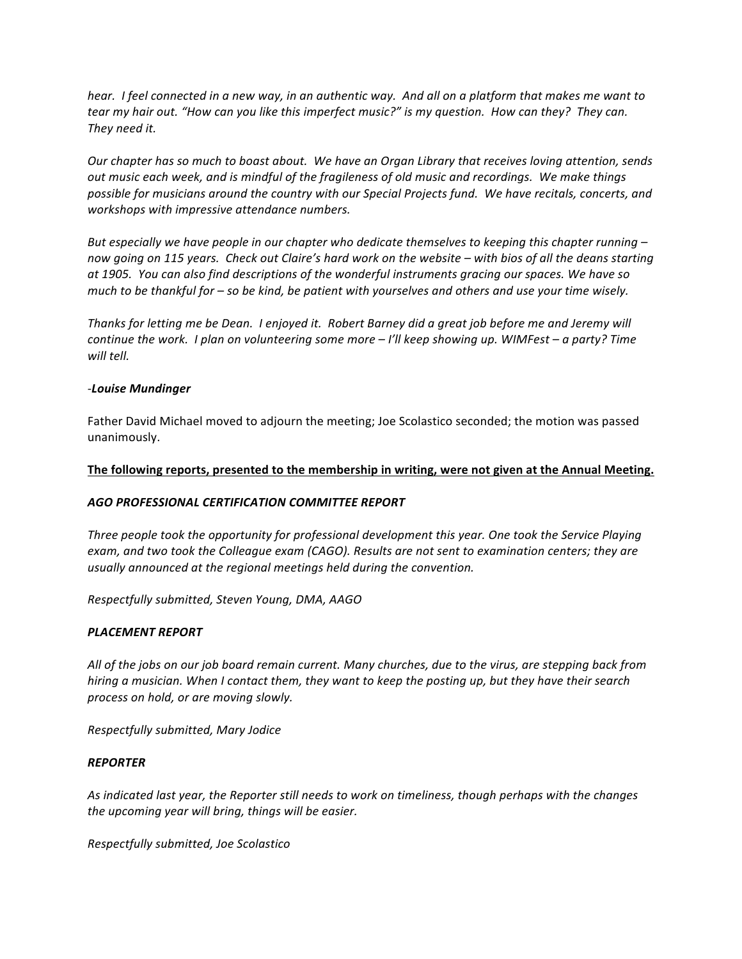*hear.* I feel connected in a new way, in an authentic way. And all on a platform that makes me want to *tear* my hair out. "How can you like this imperfect music?" is my question. How can they? They can. *They need it.*

Our chapter has so much to boast about. We have an Organ Library that receives loving attention, sends *out* music each week, and is mindful of the fragileness of old music and recordings. We make things possible for musicians around the country with our Special Projects fund. We have recitals, concerts, and workshops with impressive attendance numbers.

But especially we have people in our chapter who dedicate themselves to keeping this chapter running – now going on 115 years. Check out Claire's hard work on the website – with bios of all the deans starting at 1905. You can also find descriptions of the wonderful instruments gracing our spaces. We have so *much* to be thankful for – so be kind, be patient with yourselves and others and use your time wisely.

*Thanks for letting me be Dean. I enjoyed it. Robert Barney did a great job before me and Jeremy will continue the work. I plan on volunteering some more – I'll keep showing up. WIMFest – a party? Time will tell.*

#### *-Louise Mundinger*

Father David Michael moved to adjourn the meeting; Joe Scolastico seconded; the motion was passed unanimously.

#### The following reports, presented to the membership in writing, were not given at the Annual Meeting.

# *AGO PROFESSIONAL CERTIFICATION COMMITTEE REPORT*

*Three people took the opportunity for professional development this year. One took the Service Playing* exam, and two took the Colleague exam (CAGO). Results are not sent to examination centers; they are usually announced at the regional meetings held during the convention.

*Respectfully submitted, Steven Young, DMA, AAGO*

# *PLACEMENT REPORT*

All of the jobs on our job board remain current. Many churches, due to the virus, are stepping back from *hiring* a musician. When I contact them, they want to keep the posting up, but they have their search *process on hold, or are moving slowly.*

*Respectfully submitted, Mary Jodice*

#### *REPORTER*

As indicated last year, the Reporter still needs to work on timeliness, though perhaps with the changes the upcoming year will bring, things will be easier.

*Respectfully submitted, Joe Scolastico*